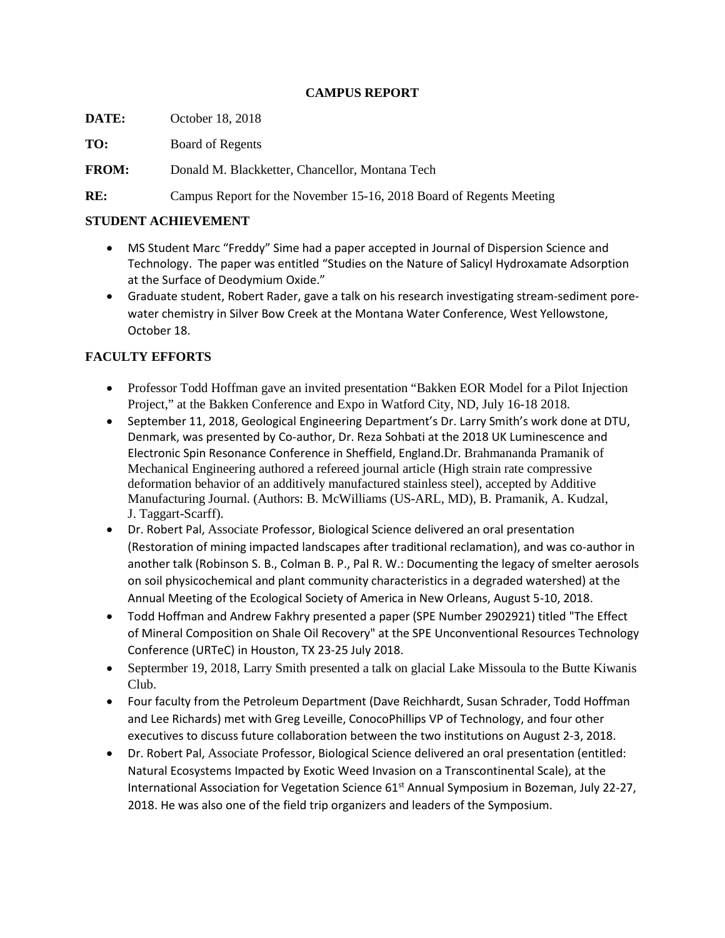### **CAMPUS REPORT**

**DATE:** October 18, 2018

**TO:** Board of Regents

**FROM:** Donald M. Blackketter, Chancellor, Montana Tech

**RE:** Campus Report for the November 15-16, 2018 Board of Regents Meeting

## **STUDENT ACHIEVEMENT**

- MS Student Marc "Freddy" Sime had a paper accepted in Journal of Dispersion Science and Technology. The paper was entitled "Studies on the Nature of Salicyl Hydroxamate Adsorption at the Surface of Deodymium Oxide."
- Graduate student, Robert Rader, gave a talk on his research investigating stream-sediment porewater chemistry in Silver Bow Creek at the Montana Water Conference, West Yellowstone, October 18.

# **FACULTY EFFORTS**

- Professor Todd Hoffman gave an invited presentation "Bakken EOR Model for a Pilot Injection Project," at the Bakken Conference and Expo in Watford City, ND, July 16-18 2018.
- September 11, 2018, Geological Engineering Department's Dr. Larry Smith's work done at DTU, Denmark, was presented by Co-author, Dr. Reza Sohbati at the 2018 UK Luminescence and Electronic Spin Resonance Conference in Sheffield, England.Dr. Brahmananda Pramanik of Mechanical Engineering authored a refereed journal article (High strain rate compressive deformation behavior of an additively manufactured stainless steel), accepted by Additive Manufacturing Journal. (Authors: B. McWilliams (US-ARL, MD), B. Pramanik, A. Kudzal, J. Taggart-Scarff).
- Dr. Robert Pal, Associate Professor, Biological Science delivered an oral presentation (Restoration of mining impacted landscapes after traditional reclamation), and was co-author in another talk (Robinson S. B., Colman B. P., Pal R. W.: Documenting the legacy of smelter aerosols on soil physicochemical and plant community characteristics in a degraded watershed) at the Annual Meeting of the Ecological Society of America in New Orleans, August 5-10, 2018.
- Todd Hoffman and Andrew Fakhry presented a paper (SPE Number 2902921) titled "The Effect of Mineral Composition on Shale Oil Recovery" at the SPE Unconventional Resources Technology Conference (URTeC) in Houston, TX 23-25 July 2018.
- Septermber 19, 2018, Larry Smith presented a talk on glacial Lake Missoula to the Butte Kiwanis Club.
- Four faculty from the Petroleum Department (Dave Reichhardt, Susan Schrader, Todd Hoffman and Lee Richards) met with Greg Leveille, ConocoPhillips VP of Technology, and four other executives to discuss future collaboration between the two institutions on August 2-3, 2018.
- Dr. Robert Pal, Associate Professor, Biological Science delivered an oral presentation (entitled: Natural Ecosystems Impacted by Exotic Weed Invasion on a Transcontinental Scale), at the International Association for Vegetation Science 61<sup>st</sup> Annual Symposium in Bozeman, July 22-27, 2018. He was also one of the field trip organizers and leaders of the Symposium.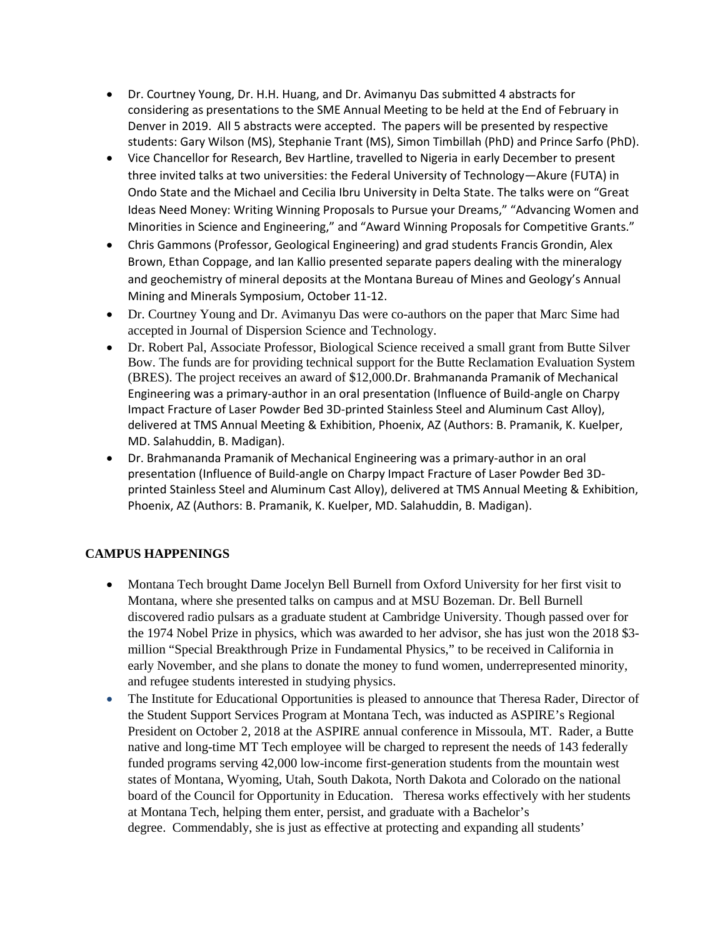- Dr. Courtney Young, Dr. H.H. Huang, and Dr. Avimanyu Das submitted 4 abstracts for considering as presentations to the SME Annual Meeting to be held at the End of February in Denver in 2019. All 5 abstracts were accepted. The papers will be presented by respective students: Gary Wilson (MS), Stephanie Trant (MS), Simon Timbillah (PhD) and Prince Sarfo (PhD).
- Vice Chancellor for Research, Bev Hartline, travelled to Nigeria in early December to present three invited talks at two universities: the Federal University of Technology—Akure (FUTA) in Ondo State and the Michael and Cecilia Ibru University in Delta State. The talks were on "Great Ideas Need Money: Writing Winning Proposals to Pursue your Dreams," "Advancing Women and Minorities in Science and Engineering," and "Award Winning Proposals for Competitive Grants."
- Chris Gammons (Professor, Geological Engineering) and grad students Francis Grondin, Alex Brown, Ethan Coppage, and Ian Kallio presented separate papers dealing with the mineralogy and geochemistry of mineral deposits at the Montana Bureau of Mines and Geology's Annual Mining and Minerals Symposium, October 11-12.
- Dr. Courtney Young and Dr. Avimanyu Das were co-authors on the paper that Marc Sime had accepted in Journal of Dispersion Science and Technology.
- Dr. Robert Pal, Associate Professor, Biological Science received a small grant from Butte Silver Bow. The funds are for providing technical support for the Butte Reclamation Evaluation System (BRES). The project receives an award of \$12,000.Dr. Brahmananda Pramanik of Mechanical Engineering was a primary-author in an oral presentation (Influence of Build-angle on Charpy Impact Fracture of Laser Powder Bed 3D-printed Stainless Steel and Aluminum Cast Alloy), delivered at TMS Annual Meeting & Exhibition, Phoenix, AZ (Authors: B. Pramanik, K. Kuelper, MD. Salahuddin, B. Madigan).
- Dr. Brahmananda Pramanik of Mechanical Engineering was a primary-author in an oral presentation (Influence of Build-angle on Charpy Impact Fracture of Laser Powder Bed 3Dprinted Stainless Steel and Aluminum Cast Alloy), delivered at TMS Annual Meeting & Exhibition, Phoenix, AZ (Authors: B. Pramanik, K. Kuelper, MD. Salahuddin, B. Madigan).

# **CAMPUS HAPPENINGS**

- Montana Tech brought Dame Jocelyn Bell Burnell from Oxford University for her first visit to Montana, where she presented talks on campus and at MSU Bozeman. Dr. Bell Burnell discovered radio pulsars as a graduate student at Cambridge University. Though passed over for the 1974 Nobel Prize in physics, which was awarded to her advisor, she has just won the 2018 \$3 million "Special Breakthrough Prize in Fundamental Physics," to be received in California in early November, and she plans to donate the money to fund women, underrepresented minority, and refugee students interested in studying physics.
- The Institute for Educational Opportunities is pleased to announce that Theresa Rader, Director of the Student Support Services Program at Montana Tech, was inducted as ASPIRE's Regional President on October 2, 2018 at the ASPIRE annual conference in Missoula, MT. Rader, a Butte native and long-time MT Tech employee will be charged to represent the needs of 143 federally funded programs serving 42,000 low-income first-generation students from the mountain west states of Montana, Wyoming, Utah, South Dakota, North Dakota and Colorado on the national board of the Council for Opportunity in Education. Theresa works effectively with her students at Montana Tech, helping them enter, persist, and graduate with a Bachelor's degree. Commendably, she is just as effective at protecting and expanding all students'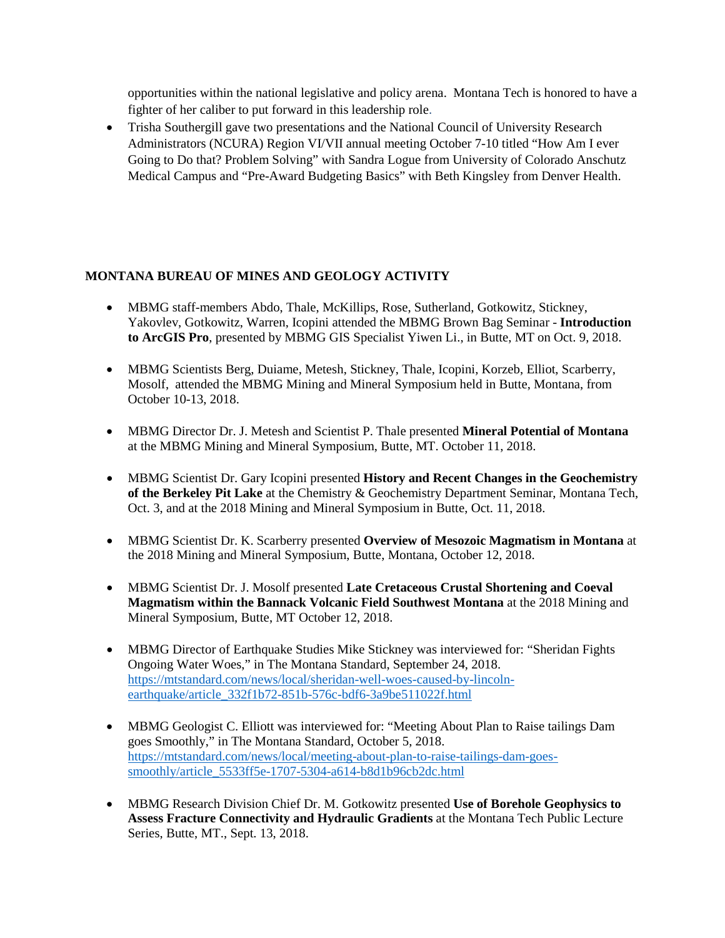opportunities within the national legislative and policy arena. Montana Tech is honored to have a fighter of her caliber to put forward in this leadership role.

• Trisha Southergill gave two presentations and the National Council of University Research Administrators (NCURA) Region VI/VII annual meeting October 7-10 titled "How Am I ever Going to Do that? Problem Solving" with Sandra Logue from University of Colorado Anschutz Medical Campus and "Pre-Award Budgeting Basics" with Beth Kingsley from Denver Health.

### **MONTANA BUREAU OF MINES AND GEOLOGY ACTIVITY**

- MBMG staff-members Abdo, Thale, McKillips, Rose, Sutherland, Gotkowitz, Stickney, Yakovlev, Gotkowitz, Warren, Icopini attended the MBMG Brown Bag Seminar - **Introduction to ArcGIS Pro**, presented by MBMG GIS Specialist Yiwen Li., in Butte, MT on Oct. 9, 2018.
- MBMG Scientists Berg, Duiame, Metesh, Stickney, Thale, Icopini, Korzeb, Elliot, Scarberry, Mosolf, attended the MBMG Mining and Mineral Symposium held in Butte, Montana, from October 10-13, 2018.
- MBMG Director Dr. J. Metesh and Scientist P. Thale presented **Mineral Potential of Montana**  at the MBMG Mining and Mineral Symposium, Butte, MT. October 11, 2018.
- MBMG Scientist Dr. Gary Icopini presented **History and Recent Changes in the Geochemistry of the Berkeley Pit Lake** at the Chemistry & Geochemistry Department Seminar, Montana Tech, Oct. 3, and at the 2018 Mining and Mineral Symposium in Butte, Oct. 11, 2018.
- MBMG Scientist Dr. K. Scarberry presented **Overview of Mesozoic Magmatism in Montana** at the 2018 Mining and Mineral Symposium, Butte, Montana, October 12, 2018.
- MBMG Scientist Dr. J. Mosolf presented **Late Cretaceous Crustal Shortening and Coeval Magmatism within the Bannack Volcanic Field Southwest Montana** at the 2018 Mining and Mineral Symposium, Butte, MT October 12, 2018.
- MBMG Director of Earthquake Studies Mike Stickney was interviewed for: "Sheridan Fights" Ongoing Water Woes," in The Montana Standard, September 24, 2018. [https://mtstandard.com/news/local/sheridan-well-woes-caused-by-lincoln](https://mtstandard.com/news/local/sheridan-well-woes-caused-by-lincoln-earthquake/article_332f1b72-851b-576c-bdf6-3a9be511022f.html)[earthquake/article\\_332f1b72-851b-576c-bdf6-3a9be511022f.html](https://mtstandard.com/news/local/sheridan-well-woes-caused-by-lincoln-earthquake/article_332f1b72-851b-576c-bdf6-3a9be511022f.html)
- MBMG Geologist C. Elliott was interviewed for: "Meeting About Plan to Raise tailings Dam goes Smoothly," in The Montana Standard, October 5, 2018. [https://mtstandard.com/news/local/meeting-about-plan-to-raise-tailings-dam-goes](https://mtstandard.com/news/local/meeting-about-plan-to-raise-tailings-dam-goes-smoothly/article_5533ff5e-1707-5304-a614-b8d1b96cb2dc.html)[smoothly/article\\_5533ff5e-1707-5304-a614-b8d1b96cb2dc.html](https://mtstandard.com/news/local/meeting-about-plan-to-raise-tailings-dam-goes-smoothly/article_5533ff5e-1707-5304-a614-b8d1b96cb2dc.html)
- MBMG Research Division Chief Dr. M. Gotkowitz presented **Use of Borehole Geophysics to Assess Fracture Connectivity and Hydraulic Gradients** at the Montana Tech Public Lecture Series, Butte, MT., Sept. 13, 2018.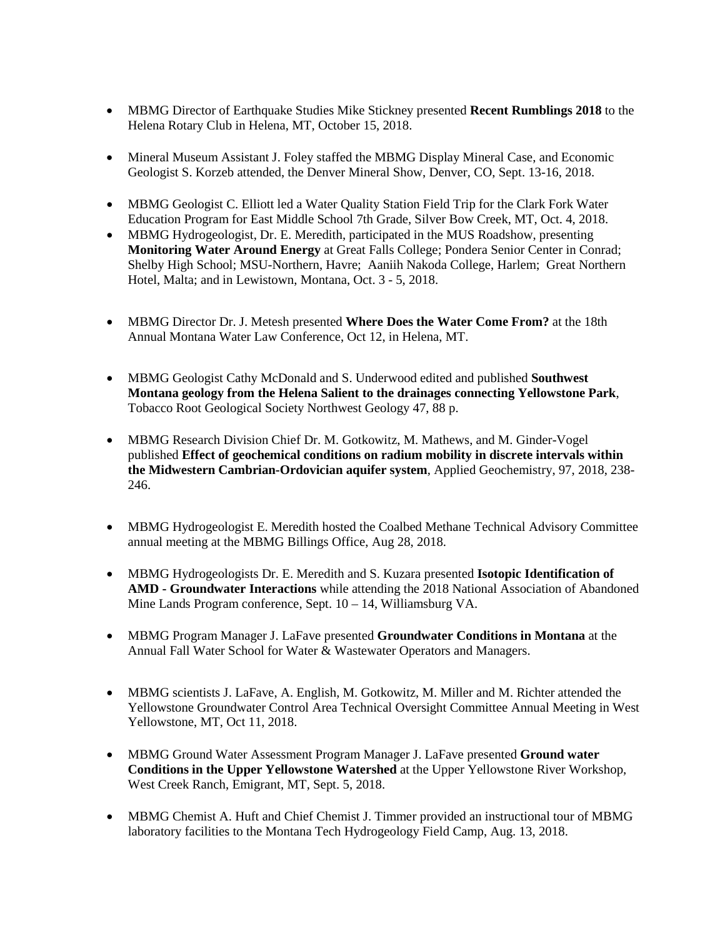- MBMG Director of Earthquake Studies Mike Stickney presented **Recent Rumblings 2018** to the Helena Rotary Club in Helena, MT, October 15, 2018.
- Mineral Museum Assistant J. Foley staffed the MBMG Display Mineral Case, and Economic Geologist S. Korzeb attended, the Denver Mineral Show, Denver, CO, Sept. 13-16, 2018.
- MBMG Geologist C. Elliott led a Water Quality Station Field Trip for the Clark Fork Water Education Program for East Middle School 7th Grade, Silver Bow Creek, MT, Oct. 4, 2018.
- MBMG Hydrogeologist, Dr. E. Meredith, participated in the MUS Roadshow, presenting **Monitoring Water Around Energy** at Great Falls College; Pondera Senior Center in Conrad; Shelby High School; MSU-Northern, Havre; Aaniih Nakoda College, Harlem; Great Northern Hotel, Malta; and in Lewistown, Montana, Oct. 3 - 5, 2018.
- MBMG Director Dr. J. Metesh presented **Where Does the Water Come From?** at the 18th Annual Montana Water Law Conference, Oct 12, in Helena, MT.
- MBMG Geologist Cathy McDonald and S. Underwood edited and published **Southwest Montana geology from the Helena Salient to the drainages connecting Yellowstone Park**, Tobacco Root Geological Society Northwest Geology 47, 88 p.
- MBMG Research Division Chief Dr. M. Gotkowitz, M. Mathews, and M. Ginder-Vogel published **Effect of geochemical conditions on radium mobility in discrete intervals within the Midwestern Cambrian-Ordovician aquifer system**, Applied Geochemistry, 97, 2018, 238- 246.
- MBMG Hydrogeologist E. Meredith hosted the Coalbed Methane Technical Advisory Committee annual meeting at the MBMG Billings Office, Aug 28, 2018.
- MBMG Hydrogeologists Dr. E. Meredith and S. Kuzara presented **Isotopic Identification of AMD - Groundwater Interactions** while attending the 2018 National Association of Abandoned Mine Lands Program conference, Sept. 10 – 14, Williamsburg VA.
- MBMG Program Manager J. LaFave presented **Groundwater Conditions in Montana** at the Annual Fall Water School for Water & Wastewater Operators and Managers.
- MBMG scientists J. LaFave, A. English, M. Gotkowitz, M. Miller and M. Richter attended the Yellowstone Groundwater Control Area Technical Oversight Committee Annual Meeting in West Yellowstone, MT, Oct 11, 2018.
- MBMG Ground Water Assessment Program Manager J. LaFave presented **Ground water Conditions in the Upper Yellowstone Watershed** at the Upper Yellowstone River Workshop, West Creek Ranch, Emigrant, MT, Sept. 5, 2018.
- MBMG Chemist A. Huft and Chief Chemist J. Timmer provided an instructional tour of MBMG laboratory facilities to the Montana Tech Hydrogeology Field Camp, Aug. 13, 2018.